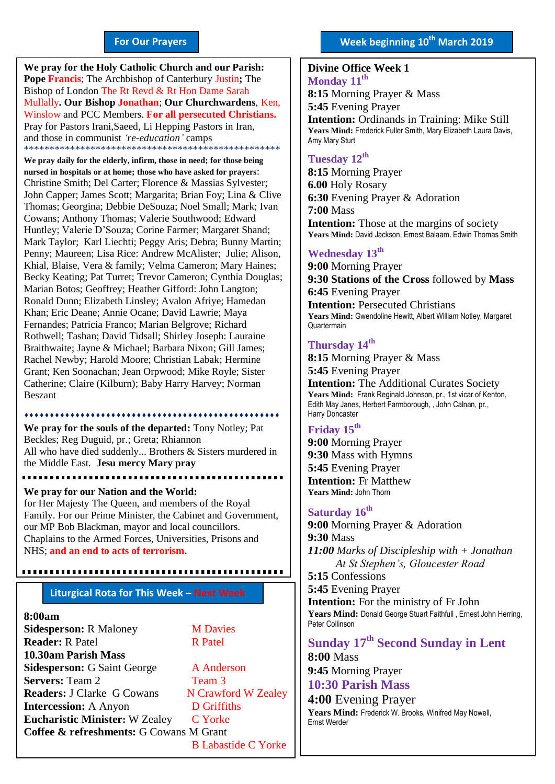#### **For Our Prayers**

arted Mullally**. Our Bishop Jonathan**; **Our Churchwardens**, Ken, **We pray for the Holy Catholic Church and our Parish: Pope Francis**; The Archbishop of Canterbury Justin**;** The Bishop of London The Rt Revd & Rt Hon Dame Sarah Winslow and PCC Members. **For all persecuted Christians.** Pray for Pastors Irani,Saeed, Li Hepping Pastors in Iran, and those in communist *'re-education'* camps \*\*\*\*\*\*\*\*\*\*\*\*\*\*\*\*\*\*\*\*\*\*\*\*\*\*\*\*\*\*\*\*\*\*\*\*\*\*\*\*\*\*\*\*\*\*\*\*\*\*

**We pray daily for the elderly, infirm, those in need; for those being nursed in hospitals or at home; those who have asked for prayers**: Christine Smith; Del Carter; Florence & Massias Sylvester; John Capper; James Scott; Margarita; Brian Foy; Lina & Clive Thomas; Georgina; Debbie DeSouza; Noel Small; Mark; Ivan Cowans; Anthony Thomas; Valerie Southwood; Edward Huntley; Valerie D'Souza; Corine Farmer; Margaret Shand; Mark Taylor; Karl Liechti; Peggy Aris; Debra; Bunny Martin; Penny; Maureen; Lisa Rice: Andrew McAlister; Julie; Alison, Khial, Blaise, Vera & family; Velma Cameron; Mary Haines; Becky Keating; Pat Turret; Trevor Cameron; Cynthia Douglas; Marian Botos; Geoffrey; Heather Gifford: John Langton; Ronald Dunn; Elizabeth Linsley; Avalon Afriye; Hamedan Khan; Eric Deane; Annie Ocane; David Lawrie; Maya Fernandes; Patricia Franco; Marian Belgrove; Richard Rothwell; Tashan; David Tidsall; Shirley Joseph: Lauraine Braithwaite; Jayne & Michael; Barbara Nixon; Gill James; Rachel Newby; Harold Moore; Christian Labak; Hermine Grant; Ken Soonachan; Jean Orpwood; Mike Royle; Sister Catherine; Claire (Kilburn); Baby Harry Harvey; Norman Beszant

**We pray for the souls of the departed:** Tony Notley; Pat Beckles; Reg Duguid, pr.; Greta; Rhiannon All who have died suddenly... Brothers & Sisters murdered in the Middle East. **Jesu mercy Mary pray**

**We pray for our Nation and the World:** for Her Majesty The Queen, and members of the Royal Family. For our Prime Minister, the Cabinet and Government, our MP Bob Blackman, mayor and local councillors. Chaplains to the Armed Forces, Universities, Prisons and NHS; **and an end to acts of terrorism.**

## **Liturgical Rota for This Week – Next Week**

#### **8:00am**

**Sidesperson:** R Maloney **M Davies Reader:** R Patel R Patel **10.30am Parish Mass Sidesperson:** G Saint George A Anderson **Servers:** Team 2 Team 3 **Readers:** J Clarke G Cowans N Crawford W Zealey **Intercession:** A Anyon D Griffiths **Eucharistic Minister:** W Zealey C Yorke **Coffee & refreshments:** G Cowans M Grant B Labastide C Yorke

### **Divine Office Week 1 Monday 11th**

**8:15** Morning Prayer & Mass **5:45** Evening Prayer **Intention:** Ordinands in Training: Mike Still **Years Mind:** Frederick Fuller Smith, Mary Elizabeth Laura Davis, Amy Mary Sturt

### **Tuesday 12th**

**8:15** Morning Prayer **6.00** Holy Rosary **6:30** Evening Prayer & Adoration **7:00** Mass **Intention:** Those at the margins of society **Years Mind:** David Jackson, Ernest Balaam, Edwin Thomas Smith

## **Wednesday 13th**

**9:00** Morning Prayer **9:30 Stations of the Cross** followed by **Mass 6:45** Evening Prayer **Intention: Persecuted Christians Years Mind:** Gwendoline Hewitt, Albert William Notley, Margaret **Quartermain** 

## **Thursday 14th**

**8:15** Morning Prayer & Mass **5:45** Evening Prayer **Intention:** The Additional Curates Society **Years Mind:** Frank Reginald Johnson, pr., 1st vicar of Kenton, Edith May Janes, Herbert Farmborough, , John Calnan, pr., Harry Doncaster

## **Friday 15th**

**9:00** Morning Prayer **9:30** Mass with Hymns **5:45** Evening Prayer **Intention:** Fr Matthew **Years Mind:** John Thorn

## **Saturday 16th**

**9:00** Morning Prayer & Adoration **9:30** Mass *11:00 Marks of Discipleship with + Jonathan At St Stephen's, Gloucester Road*

**5:15** Confessions **5:45** Evening Prayer **Intention:** For the ministry of Fr John Years Mind: Donald George Stuart Faithfull, Ernest John Herring, Peter Collinson

## **Sunday 17 th Second Sunday in Lent 8:00** Mass

**9:45** Morning Prayer **10:30 Parish Mass** 

## **4:00** Evening Prayer

**Years Mind:** Frederick W. Brooks, Winifred May Nowell, Ernst Werder